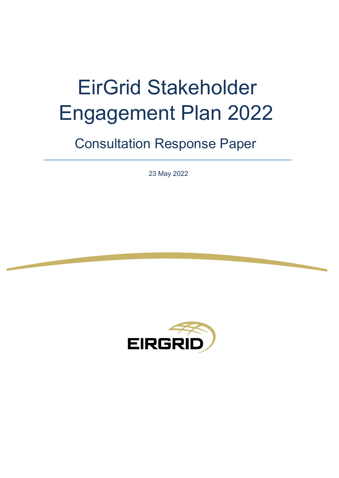# EirGrid Stakeholder Engagement Plan 2022

# Consultation Response Paper

23 May 2022

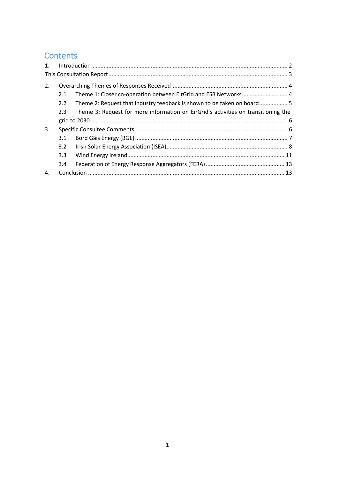# Contents

| $\mathbf{1}$ . |     |                                                                                    |  |  |  |
|----------------|-----|------------------------------------------------------------------------------------|--|--|--|
|                |     |                                                                                    |  |  |  |
| 2.             |     |                                                                                    |  |  |  |
|                | 2.1 | Theme 1: Closer co-operation between EirGrid and ESB Networks 4                    |  |  |  |
|                | 2.2 | Theme 2: Request that industry feedback is shown to be taken on board 5            |  |  |  |
|                | 2.3 | Theme 3: Request for more information on EirGrid's activities on transitioning the |  |  |  |
|                |     |                                                                                    |  |  |  |
| 3.             |     |                                                                                    |  |  |  |
|                | 3.1 |                                                                                    |  |  |  |
|                | 3.2 |                                                                                    |  |  |  |
|                | 3.3 |                                                                                    |  |  |  |
|                | 3.4 |                                                                                    |  |  |  |
| 4.             |     |                                                                                    |  |  |  |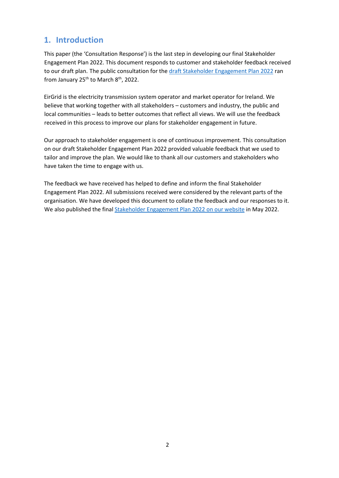# <span id="page-2-0"></span>**1. Introduction**

This paper (the 'Consultation Response') is the last step in developing our final Stakeholder Engagement Plan 2022. This document responds to customer and stakeholder feedback received to our draft plan. The public consultation for the [draft Stakeholder Engagement Plan 2022](http://www.eirgridgroup.com/site-files/library/EirGrid/209013-EirGrid-Stakeholder-Engagement-Plan-2022.pdf) ran from January 25<sup>th</sup> to March 8<sup>th</sup>, 2022.

EirGrid is the electricity transmission system operator and market operator for Ireland. We believe that working together with all stakeholders – customers and industry, the public and local communities – leads to better outcomes that reflect all views. We will use the feedback received in this process to improve our plans for stakeholder engagement in future.

Our approach to stakeholder engagement is one of continuous improvement. This consultation on our draft Stakeholder Engagement Plan 2022 provided valuable feedback that we used to tailor and improve the plan. We would like to thank all our customers and stakeholders who have taken the time to engage with us.

The feedback we have received has helped to define and inform the final Stakeholder Engagement Plan 2022. All submissions received were considered by the relevant parts of the organisation. We have developed this document to collate the feedback and our responses to it. We also published the final **[Stakeholder](https://www.eirgridgroup.com/site-files/library/EirGrid/EirGrid-Stakeholder-Engagement-Plan-2022.pdf) Engagement Plan 2022** on our website in May 2022.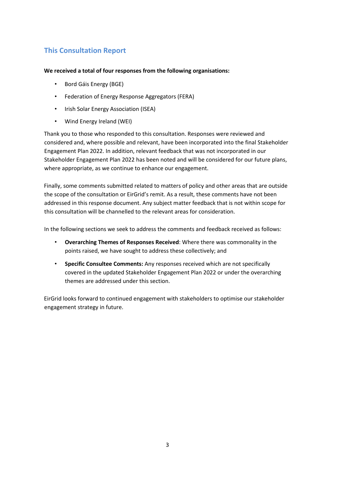### <span id="page-3-0"></span>**This Consultation Report**

#### **We received a total of four responses from the following organisations:**

- Bord Gáis Energy (BGE)
- Federation of Energy Response Aggregators (FERA)
- Irish Solar Energy Association (ISEA)
- Wind Energy Ireland (WEI)

Thank you to those who responded to this consultation. Responses were reviewed and considered and, where possible and relevant, have been incorporated into the final Stakeholder Engagement Plan 2022. In addition, relevant feedback that was not incorporated in our Stakeholder Engagement Plan 2022 has been noted and will be considered for our future plans, where appropriate, as we continue to enhance our engagement.

Finally, some comments submitted related to matters of policy and other areas that are outside the scope of the consultation or EirGrid's remit. As a result, these comments have not been addressed in this response document. Any subject matter feedback that is not within scope for this consultation will be channelled to the relevant areas for consideration.

In the following sections we seek to address the comments and feedback received as follows:

- **Overarching Themes of Responses Received**: Where there was commonality in the points raised, we have sought to address these collectively; and
- **Specific Consultee Comments:** Any responses received which are not specifically covered in the updated Stakeholder Engagement Plan 2022 or under the overarching themes are addressed under this section.

EirGrid looks forward to continued engagement with stakeholders to optimise our stakeholder engagement strategy in future.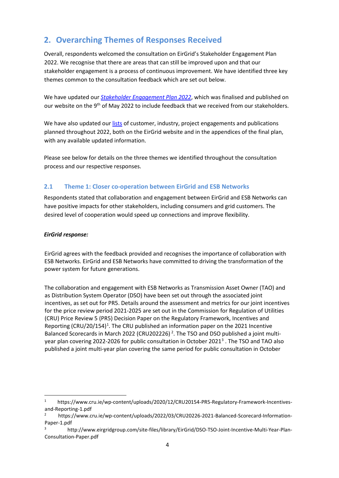# <span id="page-4-0"></span>**2. Overarching Themes of Responses Received**

Overall, respondents welcomed the consultation on EirGrid's Stakeholder Engagement Plan 2022. We recognise that there are areas that can still be improved upon and that our stakeholder engagement is a process of continuous improvement. We have identified three key themes common to the consultation feedback which are set out below.

We have updated our *[Stakeholder Engagement Plan 2022](http://www.eirgridgroup.com/site-files/library/EirGrid/EirGrid-Stakeholder-Engagement-Plan-2022.pdf)*[,](http://www.eirgridgroup.com/site-files/library/EirGrid/EirGrid-Stakeholder-Engagement-Plan-2021.pdf) which was finalised and published on our website on the 9<sup>th</sup> of May 2022 to include feedback that we received from our stakeholders.

We have also updated ou[r lists](http://www.eirgridgroup.com/the-grid/stakeholder-engagement/) of [customer, industry,](http://www.eirgridgroup.com/the-grid/stakeholder-engagement/) [project engagements](http://www.eirgridgroup.com/the-grid/stakeholder-engagement/) [a](http://www.eirgridgroup.com/the-grid/stakeholder-engagement/)nd publications planned throughout 2022, both on the EirGrid website and in the appendices of the final plan, with any available updated information.

Please see below for details on the three themes we identified throughout the consultation process and our respective responses.

#### <span id="page-4-1"></span>**2.1 Theme 1: Closer co-operation between EirGrid and ESB Networks**

Respondents stated that collaboration and engagement between EirGrid and ESB Networks can have positive impacts for other stakeholders, including consumers and grid customers. The desired level of cooperation would speed up connections and improve flexibility.

#### *EirGrid response:*

EirGrid agrees with the feedback provided and recognises the importance of collaboration with ESB Networks. EirGrid and ESB Networks have committed to driving the transformation of the power system for future generations.

The collaboration and engagement with ESB Networks as Transmission Asset Owner (TAO) and as Distribution System Operator (DSO) have been set out through the associated joint incentives, as set out for PR5. Details around the assessment and metrics for our joint incentives for the price review period 2021-2025 are set out in the Commission for Regulation of Utilities (CRU) Price Review 5 (PR5) Decision Paper on the Regulatory Framework, Incentives and Reporting (CRU/20/154)<sup>1</sup>. The CRU published an information paper on the 2021 Incentive Balanced Scorecards in March [2](#page-4-3)022 (CRU202226)<sup>2</sup>. The TSO and DSO published a joint multi-year plan covering 2022-2026 for public consultation in October 2021<sup>[3](#page-4-4)</sup>. The TSO and TAO also published a joint multi-year plan covering the same period for public consultation in October

<span id="page-4-2"></span><sup>1</sup> https://www.cru.ie/wp-content/uploads/2020/12/CRU20154-PR5-Regulatory-Framework-Incentivesand-Reporting-1.pdf

<span id="page-4-3"></span><sup>2</sup> https://www.cru.ie/wp-content/uploads/2022/03/CRU20226-2021-Balanced-Scorecard-Information-Paper-1.pdf

<span id="page-4-4"></span><sup>3</sup> http://www.eirgridgroup.com/site-files/library/EirGrid/DSO-TSO-Joint-Incentive-Multi-Year-Plan-Consultation-Paper.pdf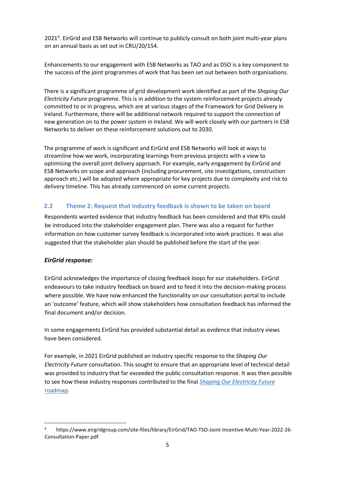2021<sup>[4](#page-5-1)</sup>. EirGrid and ESB Networks will continue to publicly consult on both joint multi-year plans on an annual basis as set out in CRU/20/154.

Enhancements to our engagement with ESB Networks as TAO and as DSO is a key component to the success of the joint programmes of work that has been set out between both organisations.

There is a significant programme of grid development work identified as part of the *Shaping Our Electricity Future* programme. This is in addition to the system reinforcement projects already committed to or in progress, which are at various stages of the Framework for Grid Delivery in Ireland. Furthermore, there will be additional network required to support the connection of new generation on to the power system in Ireland. We will work closely with our partners in ESB Networks to deliver on these reinforcement solutions out to 2030.

The programme of work is significant and EirGrid and ESB Networks will look at ways to streamline how we work, incorporating learnings from previous projects with a view to optimising the overall joint delivery approach. For example, early engagement by EirGrid and ESB Networks on scope and approach (including procurement, site investigations, construction approach etc.) will be adopted where appropriate for key projects due to complexity and risk to delivery timeline. This has already commenced on some current projects.

#### <span id="page-5-0"></span>**2.2 Theme 2: Request that industry feedback is shown to be taken on board**

Respondents wanted evidence that industry feedback has been considered and that KPIs could be introduced into the stakeholder engagement plan. There was also a request for further information on how customer survey feedback is incorporated into work practices. It was also suggested that the stakeholder plan should be published before the start of the year.

#### *EirGrid response:*

EirGrid acknowledges the importance of closing feedback loops for our stakeholders. EirGrid endeavours to take industry feedback on board and to feed it into the decision-making process where possible. We have now enhanced the functionality on our consultation portal to include an 'outcome' feature, which will show stakeholders how consultation feedback has informed the final document and/or decision.

In some engagements EirGrid has provided substantial detail as evidence that industry views have been considered.

For example, in 2021 EirGrid published an industry specific response to the *Shaping Our Electricity Future* consultation. This sought to ensure that an appropriate level of technical detail was provided to industry that far exceeded the public consultation response. It was then possible to see how these industry responses contributed to the final *[Shaping Our Electricity Future](https://www.eirgridgroup.com/site-files/library/EirGrid/Shaping_Our_Electricity_Future_Roadmap.pdf)* [roadmap.](https://www.eirgridgroup.com/site-files/library/EirGrid/Shaping_Our_Electricity_Future_Roadmap.pdf)

<span id="page-5-1"></span><sup>4</sup> https://www.eirgridgroup.com/site-files/library/EirGrid/TAO-TSO-Joint-Incentive-Multi-Year-2022-26- Consultation-Paper.pdf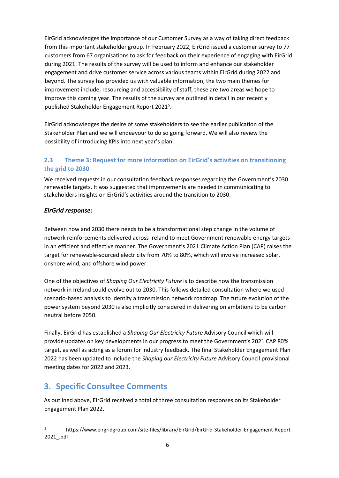EirGrid acknowledges the importance of our Customer Survey as a way of taking direct feedback from this important stakeholder group. In February 2022, EirGrid issued a customer survey to 77 customers from 67 organisations to ask for feedback on their experience of engaging with EirGrid during 2021. The results of the survey will be used to inform and enhance our stakeholder engagement and drive customer service across various teams within EirGrid during 2022 and beyond. The survey has provided us with valuable information, the two main themes for improvement include, resourcing and accessibility of staff, these are two areas we hope to improve this coming year. The results of the survey are outlined in detail in our recently published Stakeholder Engagement Report 2021<sup>[5](#page-6-2)</sup>.

EirGrid acknowledges the desire of some stakeholders to see the earlier publication of the Stakeholder Plan and we will endeavour to do so going forward. We will also review the possibility of introducing KPIs into next year's plan.

#### <span id="page-6-0"></span>**2.3 Theme 3: Request for more information on EirGrid's activities on transitioning the grid to 2030**

We received requests in our consultation feedback responses regarding the Government's 2030 renewable targets. It was suggested that improvements are needed in communicating to stakeholders insights on EirGrid's activities around the transition to 2030.

#### *EirGrid response:*

Between now and 2030 there needs to be a transformational step change in the volume of network reinforcements delivered across Ireland to meet Government renewable energy targets in an efficient and effective manner. The Government's 2021 Climate Action Plan (CAP) raises the target for renewable-sourced electricity from 70% to 80%, which will involve increased solar, onshore wind, and offshore wind power.

One of the objectives of *Shaping Our Electricity Future* is to describe how the transmission network in Ireland could evolve out to 2030. This follows detailed consultation where we used scenario-based analysis to identify a transmission network roadmap. The future evolution of the power system beyond 2030 is also implicitly considered in delivering on ambitions to be carbon neutral before 2050.

Finally, EirGrid has established a *Shaping Our Electricity Future* Advisory Council which will provide updates on key developments in our progress to meet the Government's 2021 CAP 80% target, as well as acting as a forum for industry feedback. The final Stakeholder Engagement Plan 2022 has been updated to include the *Shaping our Electricity Future* Advisory Council provisional meeting dates for 2022 and 2023.

## <span id="page-6-1"></span>**3. Specific Consultee Comments**

As outlined above, EirGrid received a total of three consultation responses on its Stakeholder Engagement Plan 2022.

<span id="page-6-2"></span><sup>5</sup> https://www.eirgridgroup.com/site-files/library/EirGrid/EirGrid-Stakeholder-Engagement-Report-2021\_.pdf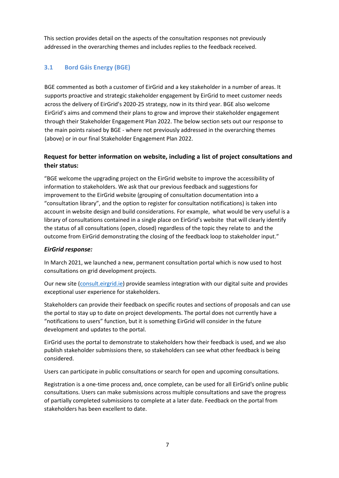This section provides detail on the aspects of the consultation responses not previously addressed in the overarching themes and includes replies to the feedback received.

#### <span id="page-7-0"></span>**3.1 Bord Gáis Energy (BGE)**

BGE commented as both a customer of EirGrid and a key stakeholder in a number of areas. It supports proactive and strategic stakeholder engagement by EirGrid to meet customer needs across the delivery of EirGrid's 2020-25 strategy, now in its third year. BGE also welcome EirGrid's aims and commend their plans to grow and improve their stakeholder engagement through their Stakeholder Engagement Plan 2022. The below section sets out our response to the main points raised by BGE - where not previously addressed in the overarching themes (above) or in our final Stakeholder Engagement Plan 2022.

#### **Request for better information on website, including a list of project consultations and their status:**

"BGE welcome the upgrading project on the EirGrid website to improve the accessibility of information to stakeholders. We ask that our previous feedback and suggestions for improvement to the EirGrid website (grouping of consultation documentation into a "consultation library", and the option to register for consultation notifications) is taken into account in website design and build considerations. For example, what would be very useful is a library of consultations contained in a single place on EirGrid's website that will clearly identify the status of all consultations (open, closed) regardless of the topic they relate to and the outcome from EirGrid demonstrating the closing of the feedback loop to stakeholder input."

#### *EirGrid response:*

In March 2021, we launched a new, permanent consultation portal which is now used to host consultations on grid development projects.

Our new site [\(consult.eirgrid.ie\)](https://consult.eirgrid.ie/) provide seamless integration with our digital suite and provides exceptional user experience for stakeholders.

Stakeholders can provide their feedback on specific routes and sections of proposals and can use the portal to stay up to date on project developments. The portal does not currently have a "notifications to users" function, but it is something EirGrid will consider in the future development and updates to the portal.

EirGrid uses the portal to demonstrate to stakeholders how their feedback is used, and we also publish stakeholder submissions there, so stakeholders can see what other feedback is being considered.

Users can participate in public consultations or search for open and upcoming consultations.

Registration is a one-time process and, once complete, can be used for all EirGrid's online public consultations. Users can make submissions across multiple consultations and save the progress of partially completed submissions to complete at a later date. Feedback on the portal from stakeholders has been excellent to date.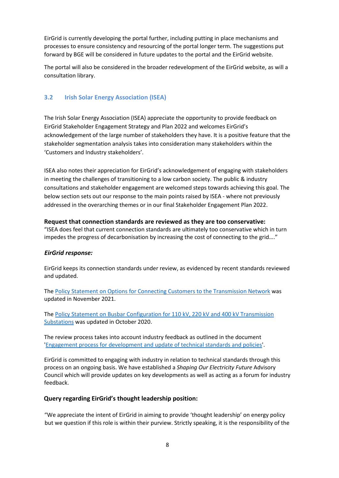EirGrid is currently developing the portal further, including putting in place mechanisms and processes to ensure consistency and resourcing of the portal longer term. The suggestions put forward by BGE will be considered in future updates to the portal and the EirGrid website.

The portal will also be considered in the broader redevelopment of the EirGrid website, as will a consultation library.

#### <span id="page-8-0"></span>**3.2 Irish Solar Energy Association (ISEA)**

The Irish Solar Energy Association (ISEA) appreciate the opportunity to provide feedback on EirGrid Stakeholder Engagement Strategy and Plan 2022 and welcomes EirGrid's acknowledgement of the large number of stakeholders they have. It is a positive feature that the stakeholder segmentation analysis takes into consideration many stakeholders within the 'Customers and Industry stakeholders'.

ISEA also notes their appreciation for EirGrid's acknowledgement of engaging with stakeholders in meeting the challenges of transitioning to a low carbon society. The public & industry consultations and stakeholder engagement are welcomed steps towards achieving this goal. The below section sets out our response to the main points raised by ISEA - where not previously addressed in the overarching themes or in our final Stakeholder Engagement Plan 2022.

#### **Request that connection standards are reviewed as they are too conservative:**

"ISEA does feel that current connection standards are ultimately too conservative which in turn impedes the progress of decarbonisation by increasing the cost of connecting to the grid…."

#### *EirGrid response:*

EirGrid keeps its connection standards under review, as evidenced by recent standards reviewed and updated.

Th[e Policy Statement on Options for Connecting Customers to the Transmission Network](https://www.eirgridgroup.com/site-files/library/EirGrid/Policy-Statement-on-Options-for-Connecting-Customers-to-the-Transmission....pdf) was updated in November 2021.

The Policy Statement on Busbar Configuration for 110 kV, 220 kV and 400 kV Transmission [Substations](https://www.eirgridgroup.com/site-files/library/EirGrid/Policy_Statement_3_Busbar_Configuration_v4.pdf) was updated in October 2020.

The review process takes into account industry feedback as outlined in the document ['Engagement process for development and update of technical standards and policies'](https://www.eirgridgroup.com/site-files/library/EirGrid/Engagement-process-for-development-and-update-of-technical-standards-and-policies..pdf).

EirGrid is committed to engaging with industry in relation to technical standards through this process on an ongoing basis. We have established a *Shaping Our Electricity Future* Advisory Council which will provide updates on key developments as well as acting as a forum for industry feedback.

#### **Query regarding EirGrid's thought leadership position:**

"We appreciate the intent of EirGrid in aiming to provide 'thought leadership' on energy policy but we question if this role is within their purview. Strictly speaking, it is the responsibility of the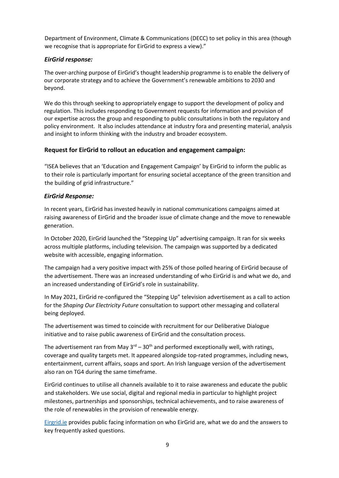Department of Environment, Climate & Communications (DECC) to set policy in this area (though we recognise that is appropriate for EirGrid to express a view)."

#### *EirGrid response:*

The over-arching purpose of EirGrid's thought leadership programme is to enable the delivery of our corporate strategy and to achieve the Government's renewable ambitions to 2030 and beyond.

We do this through seeking to appropriately engage to support the development of policy and regulation. This includes responding to Government requests for information and provision of our expertise across the group and responding to public consultations in both the regulatory and policy environment. It also includes attendance at industry fora and presenting material, analysis and insight to inform thinking with the industry and broader ecosystem.

#### **Request for EirGrid to rollout an education and engagement campaign:**

"ISEA believes that an 'Education and Engagement Campaign' by EirGrid to inform the public as to their role is particularly important for ensuring societal acceptance of the green transition and the building of grid infrastructure."

#### *EirGrid Response:*

In recent years, EirGrid has invested heavily in national communications campaigns aimed at raising awareness of EirGrid and the broader issue of climate change and the move to renewable generation.

In October 2020, EirGrid launched the "Stepping Up" advertising campaign. It ran for six weeks across multiple platforms, including television. The campaign was supported by a dedicated website with accessible, engaging information.

The campaign had a very positive impact with 25% of those polled hearing of EirGrid because of the advertisement. There was an increased understanding of who EirGrid is and what we do, and an increased understanding of EirGrid's role in sustainability.

In May 2021, EirGrid re-configured the "Stepping Up" television advertisement as a call to action for the *Shaping Our Electricity Future* consultation to support other messaging and collateral being deployed.

The advertisement was timed to coincide with recruitment for our Deliberative Dialogue initiative and to raise public awareness of EirGrid and the consultation process.

The advertisement ran from May  $3^{rd}$  –  $30^{th}$  and performed exceptionally well, with ratings, coverage and quality targets met. It appeared alongside top-rated programmes, including news, entertainment, current affairs, soaps and sport. An Irish language version of the advertisement also ran on TG4 during the same timeframe.

EirGrid continues to utilise all channels available to it to raise awareness and educate the public and stakeholders. We use social, digital and regional media in particular to highlight project milestones, partnerships and sponsorships, technical achievements, and to raise awareness of the role of renewables in the provision of renewable energy.

[Eirgrid.ie](https://eirgrid.ie/) provides public facing information on who EirGrid are, what we do and the answers to key frequently asked questions.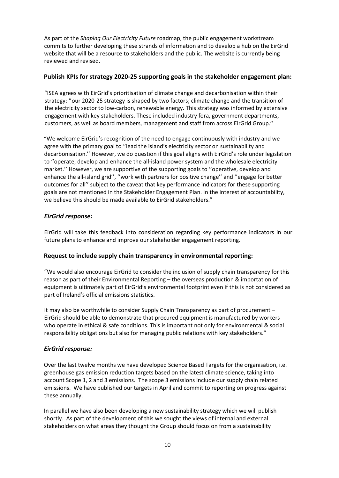As part of the *Shaping Our Electricity Future* roadmap, the public engagement workstream commits to further developing these strands of information and to develop a hub on the EirGrid website that will be a resource to stakeholders and the public. The website is currently being reviewed and revised.

#### **Publish KPIs for strategy 2020-25 supporting goals in the stakeholder engagement plan:**

"ISEA agrees with EirGrid's prioritisation of climate change and decarbonisation within their strategy: ''our 2020-25 strategy is shaped by two factors; climate change and the transition of the electricity sector to low-carbon, renewable energy. This strategy was informed by extensive engagement with key stakeholders. These included industry fora, government departments, customers, as well as board members, management and staff from across EirGrid Group.''

"We welcome EirGrid's recognition of the need to engage continuously with industry and we agree with the primary goal to ''lead the island's electricity sector on sustainability and decarbonisation.'' However, we do question if this goal aligns with EirGrid's role under legislation to ''operate, develop and enhance the all-island power system and the wholesale electricity market.'' However, we are supportive of the supporting goals to ''operative, develop and enhance the all-island grid'', ''work with partners for positive change'' and ''engage for better outcomes for all'' subject to the caveat that key performance indicators for these supporting goals are not mentioned in the Stakeholder Engagement Plan. In the interest of accountability, we believe this should be made available to EirGrid stakeholders."

#### *EirGrid response:*

EirGrid will take this feedback into consideration regarding key performance indicators in our future plans to enhance and improve our stakeholder engagement reporting.

#### **Request to include supply chain transparency in environmental reporting:**

"We would also encourage EirGrid to consider the inclusion of supply chain transparency for this reason as part of their Environmental Reporting – the overseas production & importation of equipment is ultimately part of EirGrid's environmental footprint even if this is not considered as part of Ireland's official emissions statistics.

It may also be worthwhile to consider Supply Chain Transparency as part of procurement – EirGrid should be able to demonstrate that procured equipment is manufactured by workers who operate in ethical & safe conditions. This is important not only for environmental & social responsibility obligations but also for managing public relations with key stakeholders."

#### *EirGrid response:*

Over the last twelve months we have developed Science Based Targets for the organisation, i.e. greenhouse gas emission reduction targets based on the latest climate science, taking into account Scope 1, 2 and 3 emissions. The scope 3 emissions include our supply chain related emissions. We have published our targets in April and commit to reporting on progress against these annually.

In parallel we have also been developing a new sustainability strategy which we will publish shortly. As part of the development of this we sought the views of internal and external stakeholders on what areas they thought the Group should focus on from a sustainability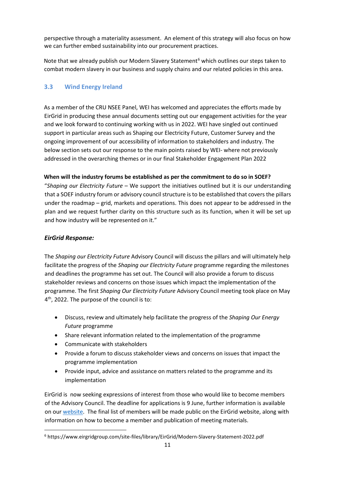perspective through a materiality assessment. An element of this strategy will also focus on how we can further embed sustainability into our procurement practices.

Note that we already publish our Modern Slavery Statement<sup>[6](#page-11-1)</sup> which outlines our steps taken to combat modern slavery in our business and supply chains and our related policies in this area.

#### <span id="page-11-0"></span>**3.3 Wind Energy Ireland**

As a member of the CRU NSEE Panel, WEI has welcomed and appreciates the efforts made by EirGrid in producing these annual documents setting out our engagement activities for the year and we look forward to continuing working with us in 2022. WEI have singled out continued support in particular areas such as Shaping our Electricity Future, Customer Survey and the ongoing improvement of our accessibility of information to stakeholders and industry. The below section sets out our response to the main points raised by WEI- where not previously addressed in the overarching themes or in our final Stakeholder Engagement Plan 2022

#### **When will the industry forums be established as per the commitment to do so in SOEF?**

"*Shaping our Electricity Future* – We support the initiatives outlined but it is our understanding that a SOEF industry forum or advisory council structure is to be established that covers the pillars under the roadmap – grid, markets and operations. This does not appear to be addressed in the plan and we request further clarity on this structure such as its function, when it will be set up and how industry will be represented on it."

#### *EirGrid Response:*

The *Shaping our Electricity Future* Advisory Council will discuss the pillars and will ultimately help facilitate the progress of the *Shaping our Electricity Future* programme regarding the milestones and deadlines the programme has set out. The Council will also provide a forum to discuss stakeholder reviews and concerns on those issues which impact the implementation of the programme. The first *Shaping Our Electricity Future* Advisory Council meeting took place on May 4<sup>th</sup>, 2022. The purpose of the council is to:

- Discuss, review and ultimately help facilitate the progress of the *Shaping Our Energy Future* programme
- Share relevant information related to the implementation of the programme
- Communicate with stakeholders
- Provide a forum to discuss stakeholder views and concerns on issues that impact the programme implementation
- Provide input, advice and assistance on matters related to the programme and its implementation

EirGrid is now seeking expressions of interest from those who would like to become members of the Advisory Council. The deadline for applications is 9 June, further information is available on ou[r website.](https://www.eirgridgroup.com/site-files/library/EirGrid/SOEF-Advisory-Council-Expressions-of-Interest-letter.pdf) The final list of members will be made public on the EirGrid website, along with information on how to become a member and publication of meeting materials.

<span id="page-11-1"></span><sup>6</sup> https://www.eirgridgroup.com/site-files/library/EirGrid/Modern-Slavery-Statement-2022.pdf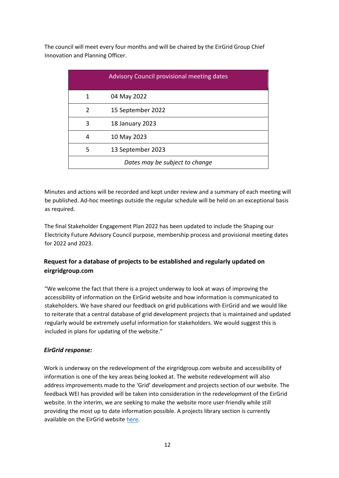The council will meet every four months and will be chaired by the EirGrid Group Chief Innovation and Planning Officer.

|               | <b>Advisory Council provisional meeting dates</b> |
|---------------|---------------------------------------------------|
| 1             | 04 May 2022                                       |
| $\mathcal{P}$ | 15 September 2022                                 |
| 3             | 18 January 2023                                   |
| 4             | 10 May 2023                                       |
| 5             | 13 September 2023                                 |
|               | Dates may be subject to change                    |

Minutes and actions will be recorded and kept under review and a summary of each meeting will be published. Ad-hoc meetings outside the regular schedule will be held on an exceptional basis as required.

The final Stakeholder Engagement Plan 2022 has been updated to include the Shaping our Electricity Future Advisory Council purpose, membership process and provisional meeting dates for 2022 and 2023.

#### **Request for a database of projects to be established and regularly updated on eirgridgroup.com**

"We welcome the fact that there is a project underway to look at ways of improving the accessibility of information on the EirGrid website and how information is communicated to stakeholders. We have shared our feedback on grid publications with EirGrid and we would like to reiterate that a central database of grid development projects that is maintained and updated regularly would be extremely useful information for stakeholders. We would suggest this is included in plans for updating of the website."

#### *EirGrid response:*

Work is underway on the redevelopment of the eirgridgroup.com website and accessibility of information is one of the key areas being looked at. The website redevelopment will also address improvements made to the 'Grid' development and projects section of our website. The feedback WEI has provided will be taken into consideration in the redevelopment of the EirGrid website. In the interim, we are seeking to make the website more user-friendly while still providing the most up to date information possible. A projects library section is currently available on the EirGrid website [here.](https://www.eirgridgroup.com/the-grid/)